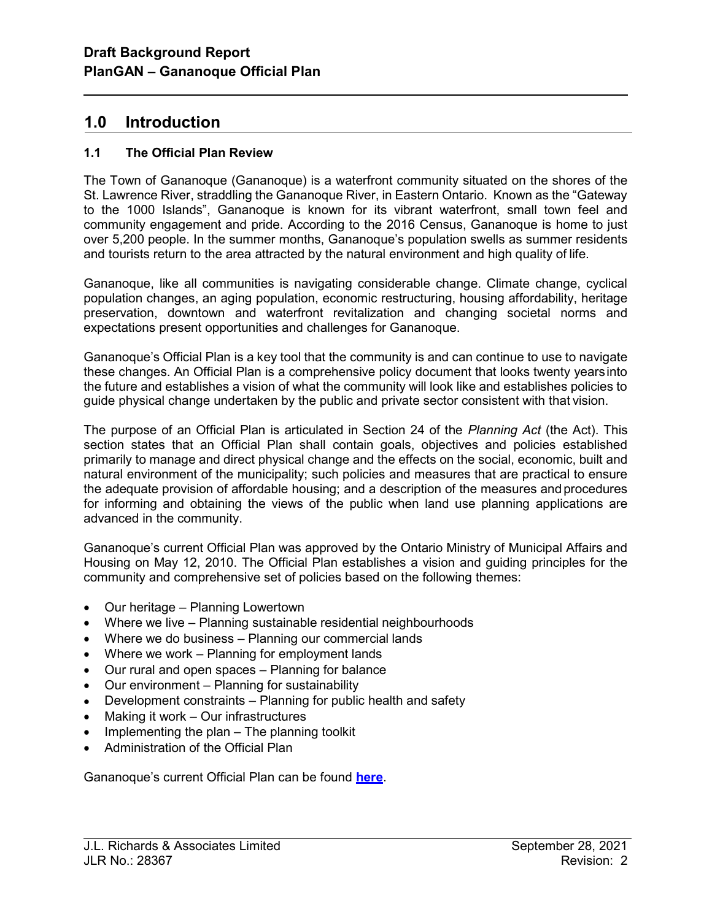## 1.0 Introduction

l

## 1.1 The Official Plan Review

The Town of Gananoque (Gananoque) is a waterfront community situated on the shores of the St. Lawrence River, straddling the Gananoque River, in Eastern Ontario. Known as the "Gateway to the 1000 Islands", Gananoque is known for its vibrant waterfront, small town feel and community engagement and pride. According to the 2016 Census, Gananoque is home to just over 5,200 people. In the summer months, Gananoque's population swells as summer residents and tourists return to the area attracted by the natural environment and high quality of life.

Gananoque, like all communities is navigating considerable change. Climate change, cyclical population changes, an aging population, economic restructuring, housing affordability, heritage preservation, downtown and waterfront revitalization and changing societal norms and expectations present opportunities and challenges for Gananoque.

Gananoque's Official Plan is a key tool that the community is and can continue to use to navigate these changes. An Official Plan is a comprehensive policy document that looks twenty years into the future and establishes a vision of what the community will look like and establishes policies to guide physical change undertaken by the public and private sector consistent with that vision.

The purpose of an Official Plan is articulated in Section 24 of the Planning Act (the Act). This section states that an Official Plan shall contain goals, objectives and policies established primarily to manage and direct physical change and the effects on the social, economic, built and natural environment of the municipality; such policies and measures that are practical to ensure the adequate provision of affordable housing; and a description of the measures and procedures for informing and obtaining the views of the public when land use planning applications are advanced in the community.

Gananoque's current Official Plan was approved by the Ontario Ministry of Municipal Affairs and Housing on May 12, 2010. The Official Plan establishes a vision and guiding principles for the community and comprehensive set of policies based on the following themes:

- Our heritage Planning Lowertown
- Where we live Planning sustainable residential neighbourhoods
- Where we do business Planning our commercial lands
- Where we work Planning for employment lands
- Our rural and open spaces Planning for balance
- Our environment Planning for sustainability
- Development constraints Planning for public health and safety
- Making it work Our infrastructures
- $\bullet$  Implementing the plan The planning toolkit
- Administration of the Official Plan

Gananoque's current Official Plan can be found here.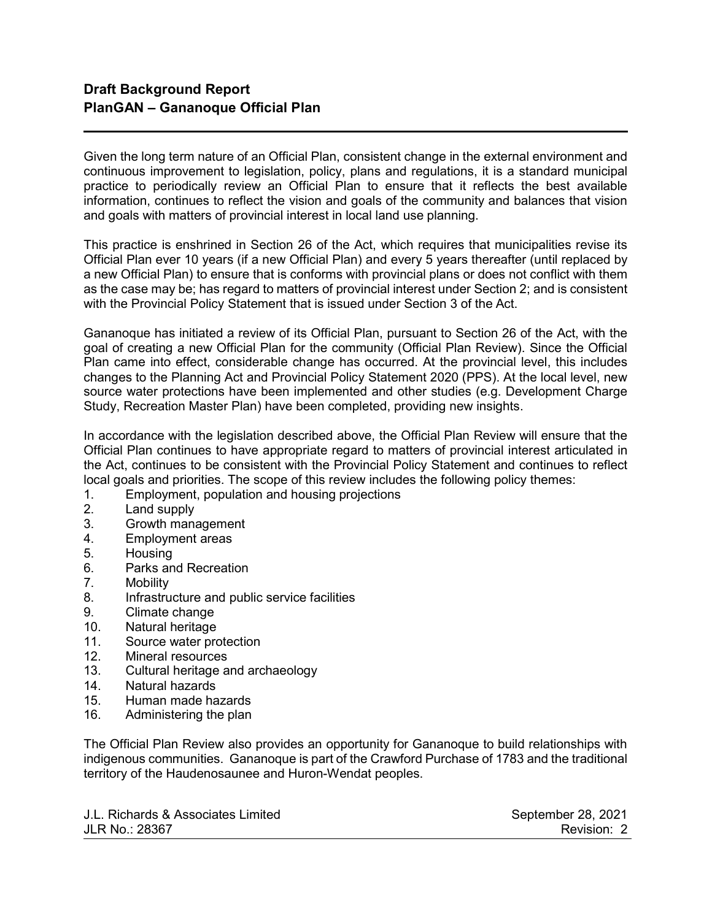l

Given the long term nature of an Official Plan, consistent change in the external environment and continuous improvement to legislation, policy, plans and regulations, it is a standard municipal practice to periodically review an Official Plan to ensure that it reflects the best available information, continues to reflect the vision and goals of the community and balances that vision and goals with matters of provincial interest in local land use planning.

This practice is enshrined in Section 26 of the Act, which requires that municipalities revise its Official Plan ever 10 years (if a new Official Plan) and every 5 years thereafter (until replaced by a new Official Plan) to ensure that is conforms with provincial plans or does not conflict with them as the case may be; has regard to matters of provincial interest under Section 2; and is consistent with the Provincial Policy Statement that is issued under Section 3 of the Act.

Gananoque has initiated a review of its Official Plan, pursuant to Section 26 of the Act, with the goal of creating a new Official Plan for the community (Official Plan Review). Since the Official Plan came into effect, considerable change has occurred. At the provincial level, this includes changes to the Planning Act and Provincial Policy Statement 2020 (PPS). At the local level, new source water protections have been implemented and other studies (e.g. Development Charge Study, Recreation Master Plan) have been completed, providing new insights.

In accordance with the legislation described above, the Official Plan Review will ensure that the Official Plan continues to have appropriate regard to matters of provincial interest articulated in the Act, continues to be consistent with the Provincial Policy Statement and continues to reflect local goals and priorities. The scope of this review includes the following policy themes:

- 1. Employment, population and housing projections
- 2. Land supply
- 3. Growth management
- 4. Employment areas
- 5. Housing
- 6. Parks and Recreation<br>7. Mobility
- Mobility
- 8. Infrastructure and public service facilities
- 9. Climate change
- 10. Natural heritage
- 11. Source water protection
- 12. Mineral resources
- 13. Cultural heritage and archaeology
- 14. Natural hazards
- 15. Human made hazards
- 16. Administering the plan

The Official Plan Review also provides an opportunity for Gananoque to build relationships with indigenous communities. Gananoque is part of the Crawford Purchase of 1783 and the traditional territory of the Haudenosaunee and Huron-Wendat peoples.

J.L. Richards & Associates Limited September 28, 2021 JLR No.: 28367 Revision: 2